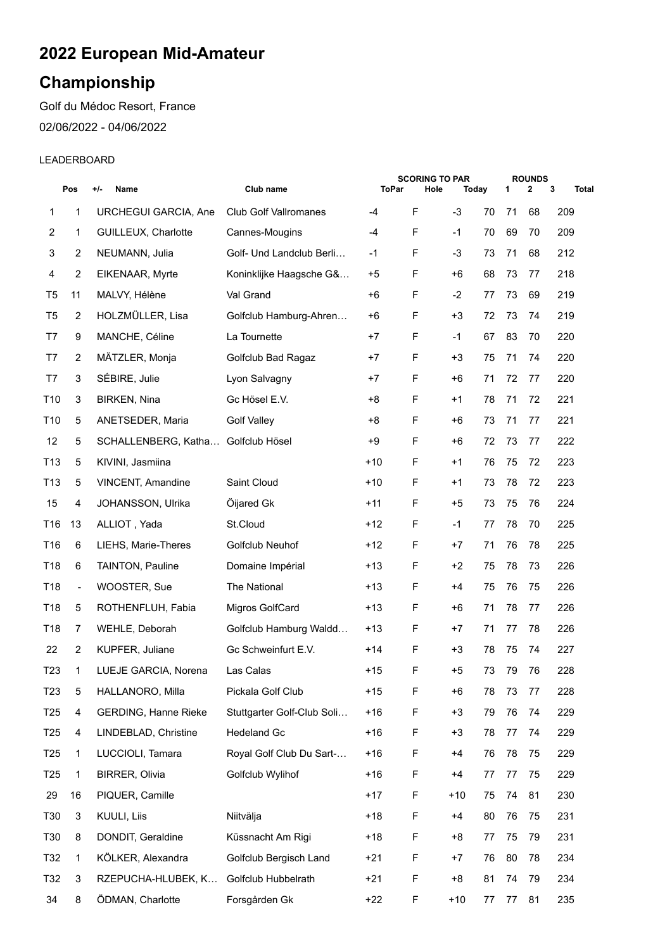## **2022 European Mid-Amateur**

## **Championship**

Golf du Médoc Resort, France 02/06/2022 - 04/06/2022

## LEADERBOARD

|                 | Pos            | $+/-$<br>Name                      | Club name                    | <b>ToPar</b> | <b>SCORING TO PAR</b><br>Hole | Today |    | 1  | <b>ROUNDS</b><br>2 | 3<br>Total |  |
|-----------------|----------------|------------------------------------|------------------------------|--------------|-------------------------------|-------|----|----|--------------------|------------|--|
| 1               | 1              | URCHEGUI GARCIA, Ane               | <b>Club Golf Vallromanes</b> | -4           | F                             | $-3$  | 70 | 71 | 68                 | 209        |  |
| 2               | 1              | GUILLEUX, Charlotte                | Cannes-Mougins               | $-4$         | F                             | $-1$  | 70 | 69 | 70                 | 209        |  |
| 3               | 2              | NEUMANN, Julia                     | Golf- Und Landclub Berli     | -1           | F                             | $-3$  | 73 | 71 | 68                 | 212        |  |
| 4               | 2              | EIKENAAR, Myrte                    | Koninklijke Haagsche G&      | $+5$         | F                             | +6    | 68 | 73 | 77                 | 218        |  |
| T5              | 11             | MALVY, Hélène                      | Val Grand                    | $+6$         | F                             | $-2$  | 77 | 73 | 69                 | 219        |  |
| T <sub>5</sub>  | 2              | HOLZMÜLLER, Lisa                   | Golfclub Hamburg-Ahren       | +6           | F                             | $+3$  | 72 | 73 | 74                 | 219        |  |
| T7              | 9              | MANCHE, Céline                     | La Tournette                 | $+7$         | F                             | $-1$  | 67 | 83 | 70                 | 220        |  |
| T7              | $\overline{2}$ | MÄTZLER, Monja                     | Golfclub Bad Ragaz           | +7           | F                             | $+3$  | 75 | 71 | 74                 | 220        |  |
| T7              | 3              | SÉBIRE, Julie                      | Lyon Salvagny                | $+7$         | F                             | $+6$  | 71 | 72 | 77                 | 220        |  |
| T <sub>10</sub> | 3              | <b>BIRKEN, Nina</b>                | Gc Hösel E.V.                | $+8$         | F                             | $+1$  | 78 | 71 | 72                 | 221        |  |
| T <sub>10</sub> | 5              | ANETSEDER, Maria                   | <b>Golf Valley</b>           | $+8$         | F                             | +6    | 73 | 71 | 77                 | 221        |  |
| 12              | 5              | SCHALLENBERG, Katha Golfclub Hösel |                              | $+9$         | F                             | $+6$  | 72 | 73 | 77                 | 222        |  |
| T <sub>13</sub> | 5              | KIVINI, Jasmiina                   |                              | $+10$        | F                             | $+1$  | 76 | 75 | 72                 | 223        |  |
| T <sub>13</sub> | 5              | VINCENT, Amandine                  | Saint Cloud                  | $+10$        | F                             | $+1$  | 73 | 78 | 72                 | 223        |  |
| 15              | 4              | JOHANSSON, Ulrika                  | Öljared Gk                   | $+11$        | F                             | $+5$  | 73 | 75 | 76                 | 224        |  |
| T <sub>16</sub> | 13             | ALLIOT, Yada                       | St.Cloud                     | $+12$        | F                             | $-1$  | 77 | 78 | 70                 | 225        |  |
| T <sub>16</sub> | 6              | LIEHS, Marie-Theres                | Golfclub Neuhof              | $+12$        | F                             | $+7$  | 71 | 76 | 78                 | 225        |  |
| T <sub>18</sub> | 6              | <b>TAINTON, Pauline</b>            | Domaine Impérial             | $+13$        | F                             | $+2$  | 75 | 78 | 73                 | 226        |  |
| T <sub>18</sub> | $\blacksquare$ | WOOSTER, Sue                       | The National                 | $+13$        | F.                            | +4    | 75 | 76 | 75                 | 226        |  |
| T <sub>18</sub> | 5              | ROTHENFLUH, Fabia                  | Migros GolfCard              | $+13$        | F                             | $+6$  | 71 | 78 | 77                 | 226        |  |
| T <sub>18</sub> | 7              | WEHLE, Deborah                     | Golfclub Hamburg Waldd       | $+13$        | F                             | +7    | 71 | 77 | 78                 | 226        |  |
| 22              | 2              | KUPFER, Juliane                    | Gc Schweinfurt E.V.          | $+14$        | F                             | $+3$  | 78 | 75 | 74                 | 227        |  |
| T <sub>23</sub> | 1              | LUEJE GARCIA, Norena               | Las Calas                    | $+15$        | F                             | $+5$  | 73 | 79 | 76                 | 228        |  |
| T <sub>23</sub> | 5              | HALLANORO, Milla                   | Pickala Golf Club            | $+15$        | F                             | $+6$  | 78 | 73 | 77                 | 228        |  |
| T <sub>25</sub> | 4              | <b>GERDING, Hanne Rieke</b>        | Stuttgarter Golf-Club Soli   | $+16$        | F                             | $+3$  | 79 | 76 | 74                 | 229        |  |
| T <sub>25</sub> | 4              | LINDEBLAD, Christine               | <b>Hedeland Gc</b>           | +16          | F                             | $+3$  | 78 | 77 | 74                 | 229        |  |
| T <sub>25</sub> | 1              | LUCCIOLI, Tamara                   | Royal Golf Club Du Sart-     | $+16$        | F                             | +4    | 76 | 78 | 75                 | 229        |  |
| T <sub>25</sub> | 1              | <b>BIRRER, Olivia</b>              | Golfclub Wylihof             | +16          | F                             | +4    | 77 | 77 | 75                 | 229        |  |
| 29              | 16             | PIQUER, Camille                    |                              | $+17$        | F                             | $+10$ | 75 | 74 | 81                 | 230        |  |
| T <sub>30</sub> | 3              | KUULI, Liis                        | Niitvälja                    | $+18$        | F                             | +4    | 80 | 76 | 75                 | 231        |  |
| T30             | 8              | DONDIT, Geraldine                  | Küssnacht Am Rigi            | $+18$        | F                             | $+8$  | 77 | 75 | 79                 | 231        |  |
| T32             | 1              | KÖLKER, Alexandra                  | Golfclub Bergisch Land       | $+21$        | F                             | $+7$  | 76 | 80 | 78                 | 234        |  |
| T32             | 3              | RZEPUCHA-HLUBEK, K                 | Golfclub Hubbelrath          | $+21$        | F                             | $+8$  | 81 | 74 | 79                 | 234        |  |
| 34              | 8              | ÖDMAN, Charlotte                   | Forsgården Gk                | $+22$        | F                             | $+10$ | 77 | 77 | 81                 | 235        |  |